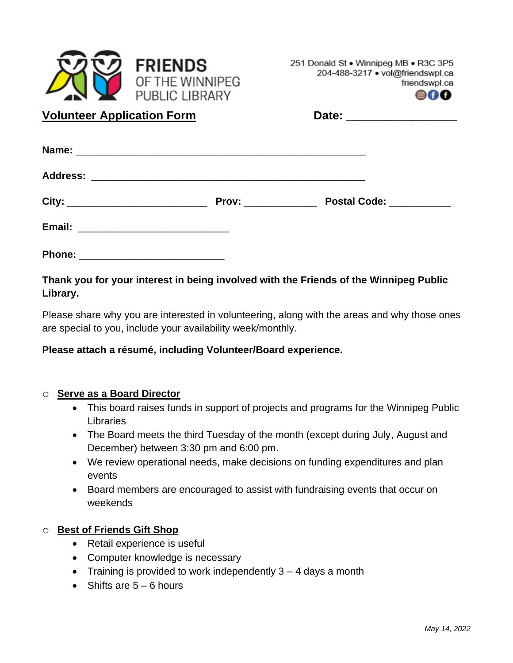

251 Donald St . Winnipeg MB . R3C 3P5 204-488-3217 · vol@friendswpl.ca friendswpl.ca



**Volunteer Application Form** 

| Date: |  |  |  |
|-------|--|--|--|
|       |  |  |  |
|       |  |  |  |

|               | <b>Prov:</b> ______________ | Postal Code: __________ |
|---------------|-----------------------------|-------------------------|
|               |                             |                         |
| <b>Phone:</b> |                             |                         |

**Thank you for your interest in being involved with the Friends of the Winnipeg Public Library.** 

Please share why you are interested in volunteering, along with the areas and why those ones are special to you, include your availability week/monthly.

# **Please attach a résumé, including Volunteer/Board experience.**

# o **Serve as a Board Director**

- This board raises funds in support of projects and programs for the Winnipeg Public Libraries
- The Board meets the third Tuesday of the month (except during July, August and December) between 3:30 pm and 6:00 pm.
- We review operational needs, make decisions on funding expenditures and plan events
- Board members are encouraged to assist with fundraising events that occur on weekends

# o **Best of Friends Gift Shop**

- Retail experience is useful
- Computer knowledge is necessary
- Training is provided to work independently  $3 4$  days a month
- Shifts are  $5 6$  hours